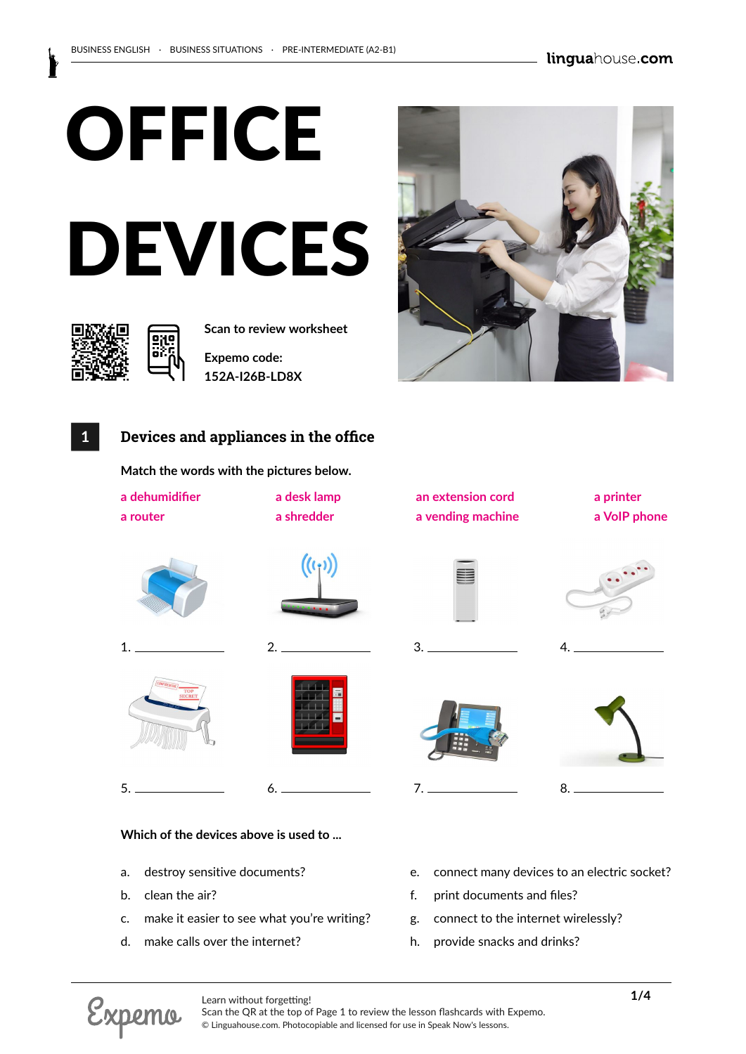

**Scan to review worksheet** 

**Expemo code: 152A-I26B-LD8X**

# **1 Devices and appliances in the office**

**Match the words with the pictures below.**

| a dehumidifier<br>a router           | a desk lamp<br>a shredder | an extension cord<br>a vending machine | a printer<br>a VoIP phone |
|--------------------------------------|---------------------------|----------------------------------------|---------------------------|
|                                      | $((\cdot,))$              | ≣                                      |                           |
| 1                                    | 2.                        |                                        | 4.                        |
| <b>CONFIDENTIAL</b><br>TOP<br>SECRET |                           | <br>中国語<br>■■■                         |                           |
| 5.                                   |                           | 7.                                     | 8.                        |

#### **Which of the devices above is used to ...**

- a. destroy sensitive documents?
- b. clean the air?
- c. make it easier to see what you're writing?
- d. make calls over the internet?
- e. connect many devices to an electric socket?
- f. print documents and files?
- g. connect to the internet wirelessly?
- h. provide snacks and drinks?



Scan the QR at the top of Page 1 to review the lesson flashcards with Expemo. © Linguahouse.com. Photocopiable and licensed for use in Speak Now's lessons.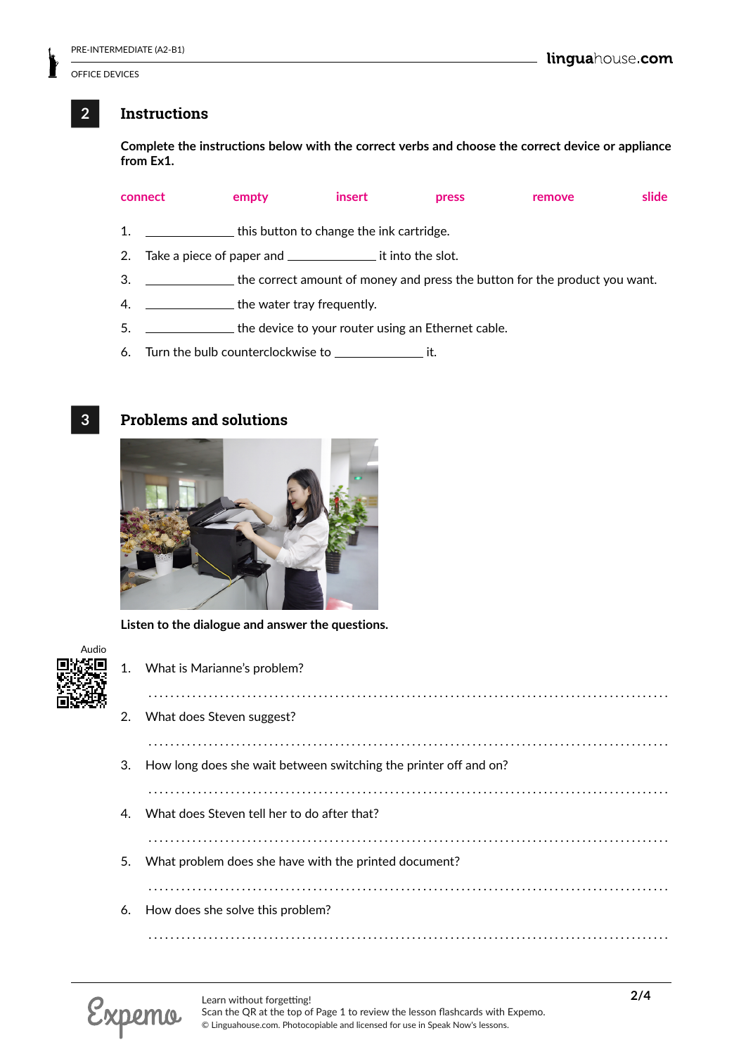### **2 Instructions**

**Complete the instructions below with the correct verbs and choose the correct device or appliance from Ex1.**

|    | connect | empty                                                               | insert | press | remove                                                                     | slide |
|----|---------|---------------------------------------------------------------------|--------|-------|----------------------------------------------------------------------------|-------|
| 1. |         | this button to change the ink cartridge.                            |        |       |                                                                            |       |
| 2. |         | Take a piece of paper and _______________________ it into the slot. |        |       |                                                                            |       |
| 3. |         |                                                                     |        |       | the correct amount of money and press the button for the product you want. |       |
| 4. |         | <u>________________</u> the water tray frequently.                  |        |       |                                                                            |       |
| 5. |         | the device to your router using an Ethernet cable.                  |        |       |                                                                            |       |

6. Turn the bulb counterclockwise to \_\_\_\_\_\_\_\_\_\_\_\_\_\_\_\_\_ it.

## **3 Problems and solutions**



**Listen to the dialogue and answer the questions.**

| 1. | What is Marianne's problem? |  |
|----|-----------------------------|--|
|    |                             |  |

| 2. What does Steven suggest?                                        |
|---------------------------------------------------------------------|
|                                                                     |
| 3. How long does she wait between switching the printer off and on? |
| 4. What does Steven tell her to do after that?                      |
| 5. What problem does she have with the printed document?            |
| 6. How does she solve this problem?                                 |
|                                                                     |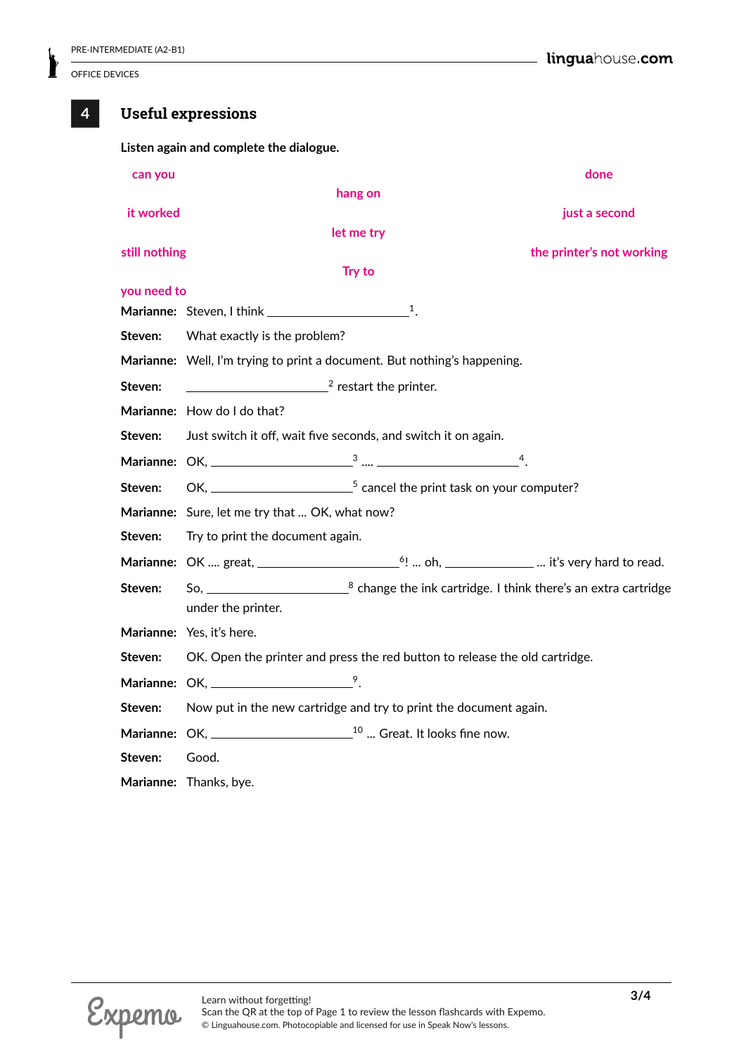# **4 Useful expressions**

**Listen again and complete the dialogue.**

| can you       |                                                                                   |               | done                                                                                                                                                                                                                                                                                                       |
|---------------|-----------------------------------------------------------------------------------|---------------|------------------------------------------------------------------------------------------------------------------------------------------------------------------------------------------------------------------------------------------------------------------------------------------------------------|
|               |                                                                                   | hang on       |                                                                                                                                                                                                                                                                                                            |
| it worked     |                                                                                   |               | just a second                                                                                                                                                                                                                                                                                              |
|               |                                                                                   | let me try    |                                                                                                                                                                                                                                                                                                            |
| still nothing |                                                                                   |               | the printer's not working                                                                                                                                                                                                                                                                                  |
|               |                                                                                   | <b>Try to</b> |                                                                                                                                                                                                                                                                                                            |
| you need to   |                                                                                   |               |                                                                                                                                                                                                                                                                                                            |
|               |                                                                                   |               |                                                                                                                                                                                                                                                                                                            |
| Steven:       | What exactly is the problem?                                                      |               |                                                                                                                                                                                                                                                                                                            |
|               | Marianne: Well, I'm trying to print a document. But nothing's happening.          |               |                                                                                                                                                                                                                                                                                                            |
| Steven:       | $\frac{1}{2}$ restart the printer.                                                |               |                                                                                                                                                                                                                                                                                                            |
|               | Marianne: How do I do that?                                                       |               |                                                                                                                                                                                                                                                                                                            |
| Steven:       | Just switch it off, wait five seconds, and switch it on again.                    |               |                                                                                                                                                                                                                                                                                                            |
|               |                                                                                   |               |                                                                                                                                                                                                                                                                                                            |
| Steven:       |                                                                                   |               |                                                                                                                                                                                                                                                                                                            |
|               | Marianne: Sure, let me try that  OK, what now?                                    |               |                                                                                                                                                                                                                                                                                                            |
| Steven:       | Try to print the document again.                                                  |               |                                                                                                                                                                                                                                                                                                            |
|               |                                                                                   |               | Marianne: OK  great, $\frac{1}{2}$ $\frac{1}{2}$ $\frac{1}{2}$ $\frac{1}{2}$ $\frac{1}{2}$ $\frac{1}{2}$ $\frac{1}{2}$ $\frac{1}{2}$ $\frac{1}{2}$ $\frac{1}{2}$ $\frac{1}{2}$ $\frac{1}{2}$ $\frac{1}{2}$ $\frac{1}{2}$ $\frac{1}{2}$ $\frac{1}{2}$ $\frac{1}{2}$ $\frac{1}{2}$ $\frac{1}{2}$ $\frac{1}{$ |
| Steven:       |                                                                                   |               |                                                                                                                                                                                                                                                                                                            |
|               | under the printer.                                                                |               |                                                                                                                                                                                                                                                                                                            |
|               | Marianne: Yes, it's here.                                                         |               |                                                                                                                                                                                                                                                                                                            |
| Steven:       | OK. Open the printer and press the red button to release the old cartridge.       |               |                                                                                                                                                                                                                                                                                                            |
|               | Marianne: OK, $\frac{9}{2}$ .                                                     |               |                                                                                                                                                                                                                                                                                                            |
| Steven:       | Now put in the new cartridge and try to print the document again.                 |               |                                                                                                                                                                                                                                                                                                            |
|               | Marianne: OK, ___________________________ <sup>10</sup> Great. It looks fine now. |               |                                                                                                                                                                                                                                                                                                            |
| Steven:       | Good.                                                                             |               |                                                                                                                                                                                                                                                                                                            |
|               | Marianne: Thanks, bye.                                                            |               |                                                                                                                                                                                                                                                                                                            |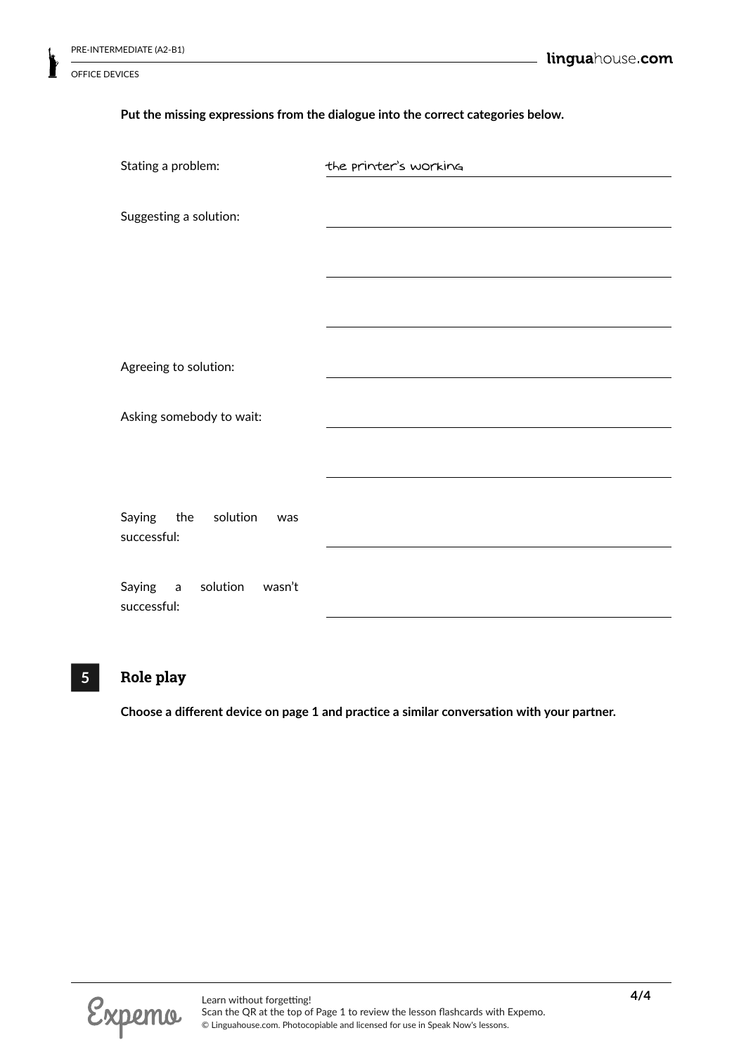#### **Put the missing expressions from the dialogue into the correct categories below.**

| Stating a problem:                            | the printer's working |
|-----------------------------------------------|-----------------------|
| Suggesting a solution:                        |                       |
|                                               |                       |
|                                               |                       |
|                                               |                       |
| Agreeing to solution:                         |                       |
| Asking somebody to wait:                      |                       |
|                                               |                       |
| Saying<br>the<br>solution<br>was              |                       |
| successful:                                   |                       |
| Saying a<br>solution<br>wasn't<br>successful: |                       |

# **5 Role play**

**Choose a different device on page 1 and practice a similar conversation with your partner.**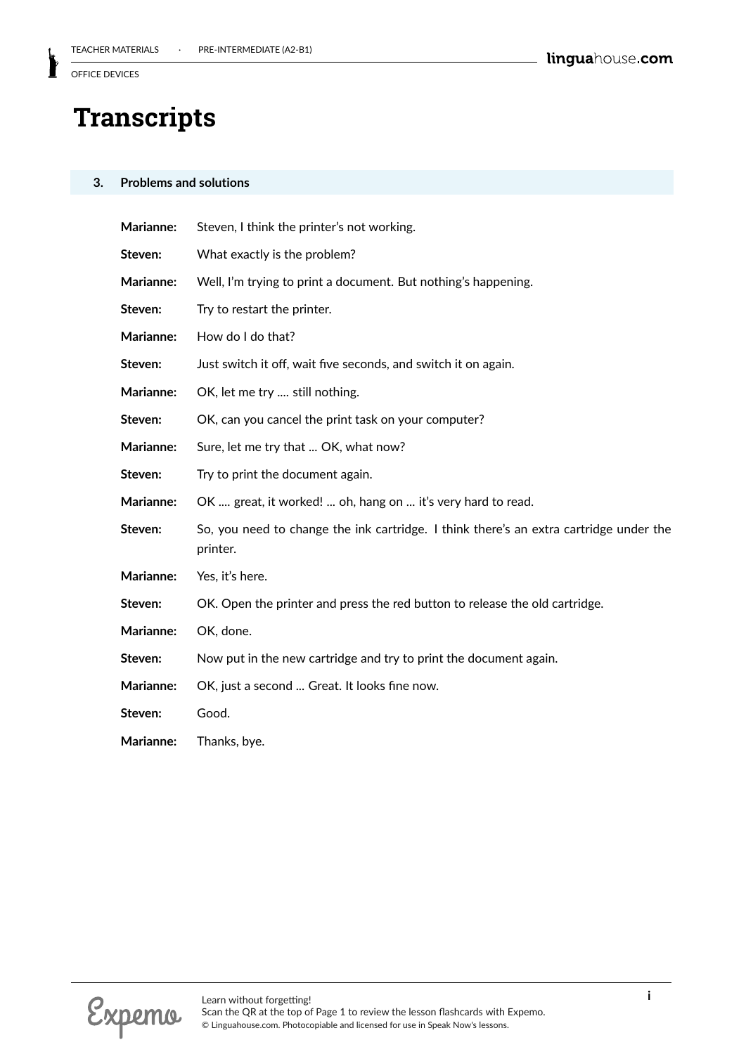# **Transcripts**

#### **3. Problems and solutions**

| Steven, I think the printer's not working.                                                         |
|----------------------------------------------------------------------------------------------------|
| What exactly is the problem?                                                                       |
| Well, I'm trying to print a document. But nothing's happening.                                     |
| Try to restart the printer.                                                                        |
| How do I do that?                                                                                  |
| Just switch it off, wait five seconds, and switch it on again.                                     |
| OK, let me try  still nothing.                                                                     |
| OK, can you cancel the print task on your computer?                                                |
| Sure, let me try that  OK, what now?                                                               |
| Try to print the document again.                                                                   |
| OK  great, it worked!  oh, hang on  it's very hard to read.                                        |
| So, you need to change the ink cartridge. I think there's an extra cartridge under the<br>printer. |
| Yes, it's here.                                                                                    |
| OK. Open the printer and press the red button to release the old cartridge.                        |
| OK, done.                                                                                          |
| Now put in the new cartridge and try to print the document again.                                  |
| OK, just a second  Great. It looks fine now.                                                       |
| Good.                                                                                              |
| Thanks, bye.                                                                                       |
|                                                                                                    |